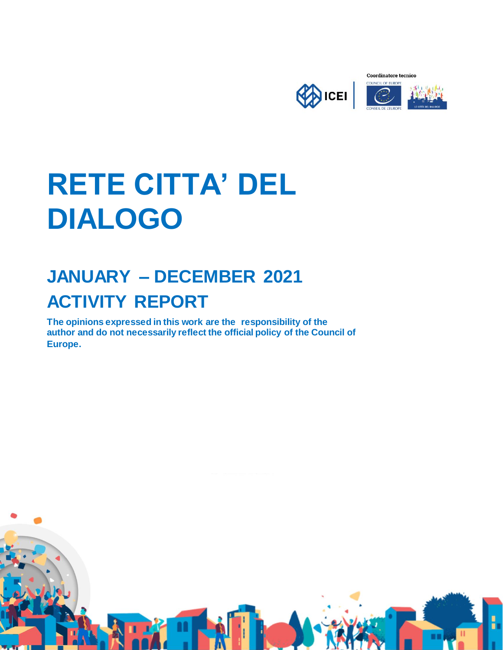

# **RETE CITTA' DEL DIALOGO**

# **JANUARY – DECEMBER 2021 ACTIVITY REPORT**

**The opinions expressed in this work are the responsibility of the author and do not necessarily reflect the official policy of the Council of Europe.**

**1**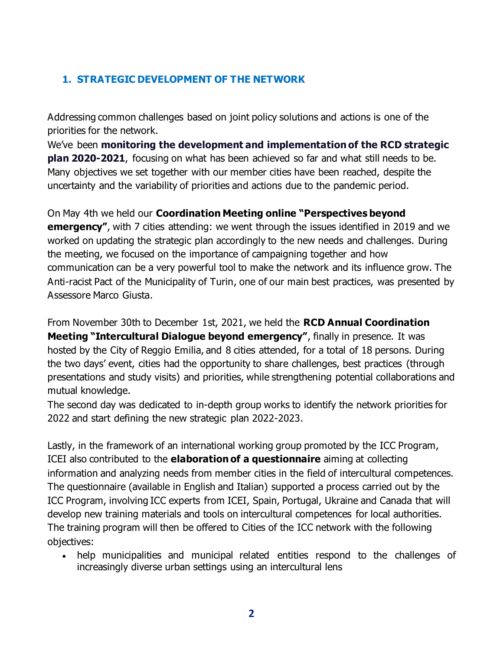# **1. STRATEGIC DEVELOPMENT OF THE NETWORK**

Addressing common challenges based on joint policy solutions and actions is one of the priorities for the network.

We've been **monitoring the development and implementation of the RCD strategic plan 2020-2021**, focusing on what has been achieved so far and what still needs to be. Many objectives we set together with our member cities have been reached, despite the uncertainty and the variability of priorities and actions due to the pandemic period.

On May 4th we held our **Coordination Meeting online "Perspectives beyond emergency"**, with 7 cities attending: we went through the issues identified in 2019 and we worked on updating the strategic plan accordingly to the new needs and challenges. During the meeting, we focused on the importance of campaigning together and how communication can be a very powerful tool to make the network and its influence grow. The Anti-racist Pact of the Municipality of Turin, one of our main best practices, was presented by Assessore Marco Giusta.

From November 30th to December 1st, 2021, we held the **RCD Annual Coordination Meeting "Intercultural Dialogue beyond emergency"**, finally in presence. It was hosted by the City of Reggio Emilia, and 8 cities attended, for a total of 18 persons. During the two days' event, cities had the opportunity to share challenges, best practices (through presentations and study visits) and priorities, while strengthening potential collaborations and mutual knowledge.

The second day was dedicated to in-depth group works to identify the network priorities for 2022 and start defining the new strategic plan 2022-2023.

Lastly, in the framework of an international working group promoted by the ICC Program, ICEI also contributed to the **elaboration of a questionnaire** aiming at collecting information and analyzing needs from member cities in the field of intercultural competences. The questionnaire (available in English and Italian) supported a process carried out by the ICC Program, involving ICC experts from ICEI, Spain, Portugal, Ukraine and Canada that will develop new training materials and tools on intercultural competences for local authorities. The training program will then be offered to Cities of the ICC network with the following objectives:

 help municipalities and municipal related entities respond to the challenges of increasingly diverse urban settings using an intercultural lens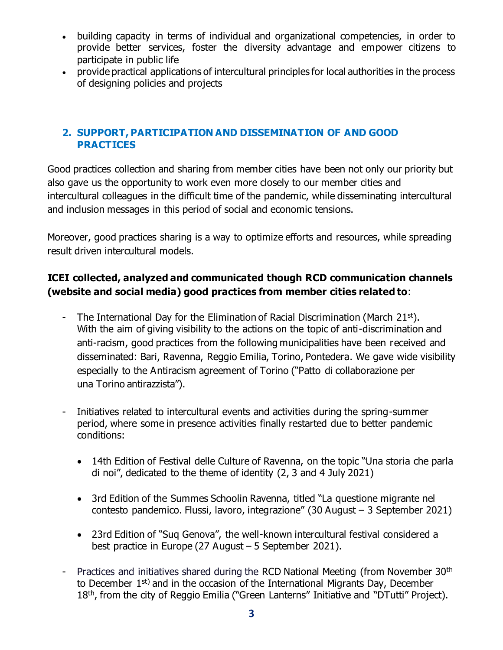- building capacity in terms of individual and organizational competencies, in order to provide better services, foster the diversity advantage and empower citizens to participate in public life
- provide practical applications of intercultural principles for local authorities in the process of designing policies and projects

#### **2. SUPPORT, PARTICIPATION AND DISSEMINATION OF AND GOOD PRACTICES**

Good practices collection and sharing from member cities have been not only our priority but also gave us the opportunity to work even more closely to our member cities and intercultural colleagues in the difficult time of the pandemic, while disseminating intercultural and inclusion messages in this period of social and economic tensions.

Moreover, good practices sharing is a way to optimize efforts and resources, while spreading result driven intercultural models.

# **ICEI collected, analyzed and communicated though RCD communication channels (website and social media) good practices from member cities related to**:

- The International Day for the Elimination of Racial Discrimination (March 21<sup>st</sup>). With the aim of giving visibility to the actions on the topic of anti-discrimination and anti-racism, good practices from the following municipalities have been received and disseminated: Bari, Ravenna, Reggio Emilia, Torino, Pontedera. We gave wide visibility especially to the Antiracism agreement of Torino ("Patto di collaborazione per una Torino antirazzista").
- Initiatives related to intercultural events and activities during the spring-summer period, where some in presence activities finally restarted due to better pandemic conditions:
	- 14th Edition of Festival delle Culture of Ravenna, on the topic "Una storia che parla di noi", dedicated to the theme of identity (2, 3 and 4 July 2021)
	- 3rd Edition of the Summes Schoolin Ravenna, titled "La questione migrante nel contesto pandemico. Flussi, lavoro, integrazione" (30 August – 3 September 2021)
	- 23rd Edition of "Suq Genova", the well-known intercultural festival considered a best practice in Europe (27 August – 5 September 2021).
- Practices and initiatives shared during the RCD National Meeting (from November 30<sup>th</sup> to December 1<sup>st)</sup> and in the occasion of the International Migrants Day, December 18<sup>th</sup>, from the city of Reggio Emilia ("Green Lanterns" Initiative and "DTutti" Project).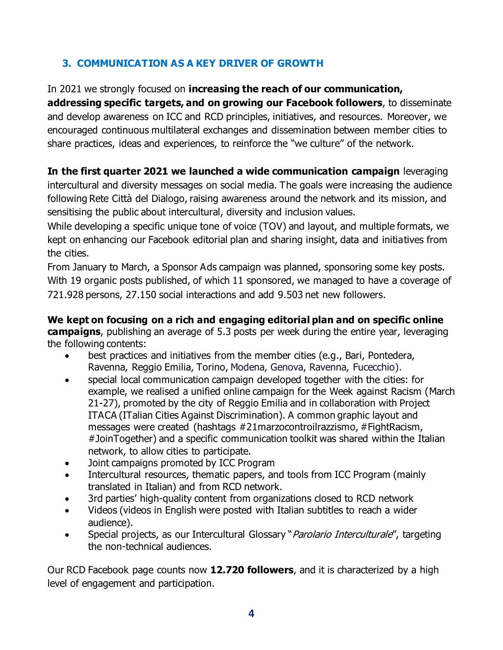# **3. COMMUNICATION AS A KEY DRIVER OF GROWTH**

#### In 2021 we strongly focused on **increasing the reach of our communication,**

**addressing specific targets, and on growing our Facebook followers**, to disseminate and develop awareness on ICC and RCD principles, initiatives, and resources. Moreover, we encouraged continuous multilateral exchanges and dissemination between member cities to share practices, ideas and experiences, to reinforce the "we culture" of the network.

#### **In the first quarter 2021 we launched a wide communication campaign** leveraging intercultural and diversity messages on social media. The goals were increasing the audience following Rete Città del Dialogo, raising awareness around the network and its mission, and sensitising the public about intercultural, diversity and inclusion values.

While developing a specific unique tone of voice (TOV) and layout, and multiple formats, we kept on enhancing our Facebook editorial plan and sharing insight, data and initiatives from the cities.

From January to March, a Sponsor Ads campaign was planned, sponsoring some key posts. With 19 organic posts published, of which 11 sponsored, we managed to have a coverage of 721.928 persons, 27.150 social interactions and add 9.503 net new followers.

**We kept on focusing on a rich and engaging editorial plan and on specific online campaigns**, publishing an average of 5.3 posts per week during the entire year, leveraging the following contents:

- best practices and initiatives from the member cities (e.g., Bari, Pontedera, Ravenna, Reggio Emilia, Torino, Modena, Genova, Ravenna, Fucecchio).
- special local communication campaign developed together with the cities: for example, we realised a unified online campaign for the Week against Racism (March 21-27), promoted by the city of Reggio Emilia and in collaboration with Project ITACA (ITalian Cities Against Discrimination). A common graphic layout and messages were created (hashtags #21marzocontroilrazzismo, #FightRacism, #JoinTogether) and a specific communication toolkit was shared within the Italian network, to allow cities to participate.
- Joint campaigns promoted by ICC Program
- Intercultural resources, thematic papers, and tools from ICC Program (mainly translated in Italian) and from RCD network.
- 3rd parties' high-quality content from organizations closed to RCD network
- Videos (videos in English were posted with Italian subtitles to reach a wider audience).
- Special projects, as our Intercultural Glossary "*Parolario Interculturale"*, targeting the non-technical audiences.

Our RCD Facebook page counts now **12.720 followers**, and it is characterized by a high level of engagement and participation.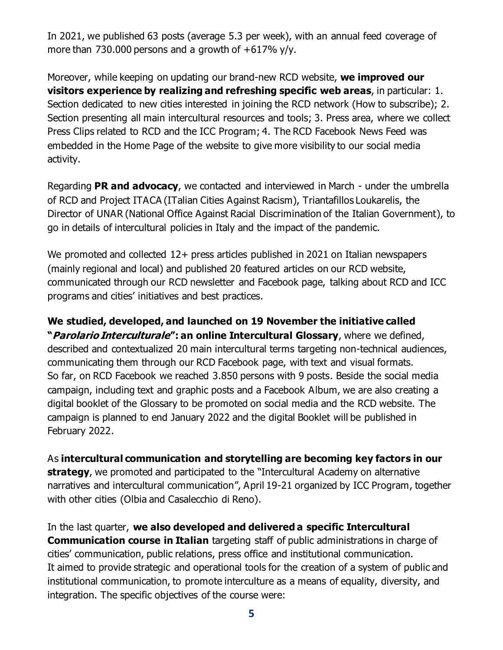In 2021, we published 63 posts (average 5.3 per week), with an annual feed coverage of more than 730.000 persons and a growth of  $+617\%$  y/y.

Moreover, while keeping on updating our brand-new RCD website, **we improved our visitors experience by realizing and refreshing specific web areas**, in particular: 1. Section dedicated to new cities interested in joining the RCD network (How to subscribe); 2. Section presenting all main intercultural resources and tools; 3. Press area, where we collect Press Clips related to RCD and the ICC Program; 4. The RCD Facebook News Feed was embedded in the Home Page of the website to give more visibility to our social media activity.

Regarding **PR and advocacy**, we contacted and interviewed in March - under the umbrella of RCD and Project ITACA (ITalian Cities Against Racism), Triantafillos Loukarelis, the Director of UNAR [\(National Office Against Racial Discrimination of the Italian Government\),](http://www.unar.it/) to go in details of intercultural policies in Italy and the impact of the pandemic.

We promoted and collected 12+ press articles published in 2021 on Italian newspapers (mainly regional and local) and published 20 featured articles on our RCD website, communicated through our RCD newsletter and Facebook page, talking about RCD and ICC programs and cities' initiatives and best practices.

#### **We studied, developed, and launched on 19 November the initiative called**

**"Parolario Interculturale": an online Intercultural Glossary**, where we defined, described and contextualized 20 main intercultural terms targeting non-technical audiences, communicating them through our RCD Facebook page, with text and visual formats. So far, on RCD Facebook we reached 3.850 persons with 9 posts. Beside the social media campaign, including text and graphic posts and a Facebook Album, we are also creating a digital booklet of the Glossary to be promoted on social media and the RCD website. The campaign is planned to end January 2022 and the digital Booklet will be published in February 2022.

#### As **intercultural communication and storytelling are becoming key factors in our**

**strategy**, we promoted and participated to the "Intercultural Academy on alternative narratives and intercultural communication", April 19-21 organized by ICC Program, together with other cities (Olbia and Casalecchio di Reno).

In the last quarter, **we also developed and delivered a specific Intercultural Communication course in Italian** targeting staff of public administrations in charge of cities' communication, public relations, press office and institutional communication. It aimed to provide strategic and operational tools for the creation of a system of public and institutional communication, to promote interculture as a means of equality, diversity, and integration. The specific objectives of the course were: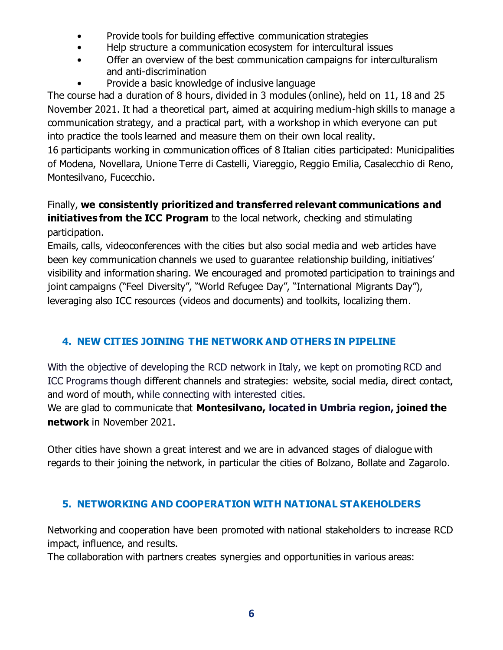- Provide tools for building effective communication strategies
- Help structure a communication ecosystem for intercultural issues
- Offer an overview of the best communication campaigns for interculturalism and anti-discrimination
- Provide a basic knowledge of inclusive language

The course had a duration of 8 hours, divided in 3 modules (online), held on 11, 18 and 25 November 2021. It had a theoretical part, aimed at acquiring medium-high skills to manage a communication strategy, and a practical part, with a workshop in which everyone can put into practice the tools learned and measure them on their own local reality.

16 participants working in communication offices of 8 Italian cities participated: Municipalities of Modena, Novellara, Unione Terre di Castelli, Viareggio, Reggio Emilia, Casalecchio di Reno, Montesilvano, Fucecchio.

# Finally, **we consistently prioritized and transferred relevant communications and initiatives from the ICC Program** to the local network, checking and stimulating participation.

Emails, calls, videoconferences with the cities but also social media and web articles have been key communication channels we used to guarantee relationship building, initiatives' visibility and information sharing. We encouraged and promoted participation to trainings and joint campaigns ("Feel Diversity", "World Refugee Day", "International Migrants Day"), leveraging also ICC resources (videos and documents) and toolkits, localizing them.

# **4. NEW CITIES JOINING THE NETWORK AND OTHERS IN PIPELINE**

With the objective of developing the RCD network in Italy, we kept on promoting RCD and ICC Programs though different channels and strategies: website, social media, direct contact, and word of mouth, while connecting with interested cities.

We are glad to communicate that **Montesilvano, located in Umbria region, joined the network** in November 2021.

Other cities have shown a great interest and we are in advanced stages of dialogue with regards to their joining the network, in particular the cities of Bolzano, Bollate and Zagarolo.

# **5. NETWORKING AND COOPERATION WITH NATIONAL STAKEHOLDERS**

Networking and cooperation have been promoted with national stakeholders to increase RCD impact, influence, and results.

The collaboration with partners creates synergies and opportunities in various areas: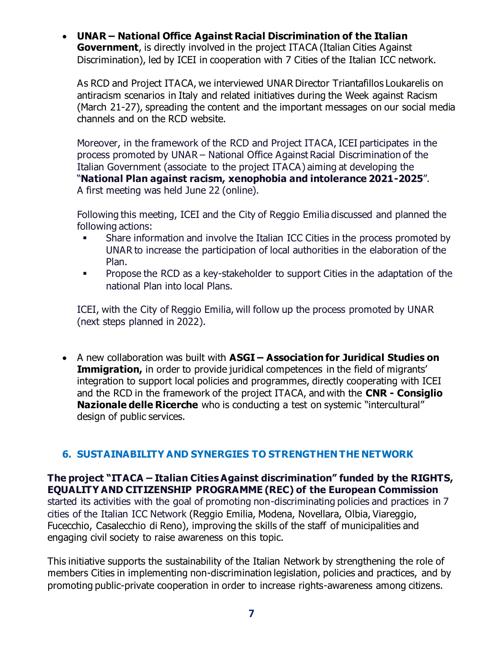**UNAR – National Office Against Racial Discrimination of the Italian Government**, is directly involved in the project ITACA (Italian Cities Against Discrimination), led by ICEI in cooperation with 7 Cities of the Italian ICC network.

As RCD and Project ITACA, we interviewed UNAR Director Triantafillos Loukarelis on antiracism scenarios in Italy and related initiatives during the Week against Racism (March 21-27), spreading the content and the important messages on our social media channels and on the RCD website.

Moreover, in the framework of the RCD and Project ITACA, ICEI participates in the process promoted by UNAR – National Office Against Racial Discrimination of the Italian Government (associate to the project ITACA) aiming at developing the "**National Plan against racism, xenophobia and intolerance 2021-2025**". A first meeting was held June 22 (online).

Following this meeting, ICEI and the City of Reggio Emilia discussed and planned the following actions:

- Share information and involve the Italian ICC Cities in the process promoted by UNAR to increase the participation of local authorities in the elaboration of the Plan.
- **Propose the RCD as a key-stakeholder to support Cities in the adaptation of the** national Plan into local Plans.

ICEI, with the City of Reggio Emilia, will follow up the process promoted by UNAR (next steps planned in 2022).

 A new collaboration was built with **ASGI – Association for Juridical Studies on Immigration,** in order to provide juridical competences in the field of migrants' integration to support local policies and programmes, directly cooperating with ICEI and the RCD in the framework of the project ITACA, and with the **CNR - Consiglio Nazionale delle Ricerche** who is conducting a test on systemic "intercultural" design of public services.

# **6. SUSTAINABILITY AND SYNERGIES TO STRENGTHEN THE NETWORK**

**The project "ITACA – Italian Cities Against discrimination" funded by the RIGHTS, EQUALITY AND CITIZENSHIP PROGRAMME (REC) of the European Commission** started its activities with the goal of promoting non-discriminating policies and practices in 7 cities of the Italian ICC Network (Reggio Emilia, Modena, Novellara, Olbia, Viareggio, Fucecchio, Casalecchio di Reno), improving the skills of the staff of municipalities and engaging civil society to raise awareness on this topic.

This initiative supports the sustainability of the Italian Network by strengthening the role of members Cities in implementing non-discrimination legislation, policies and practices, and by promoting public-private cooperation in order to increase rights-awareness among citizens.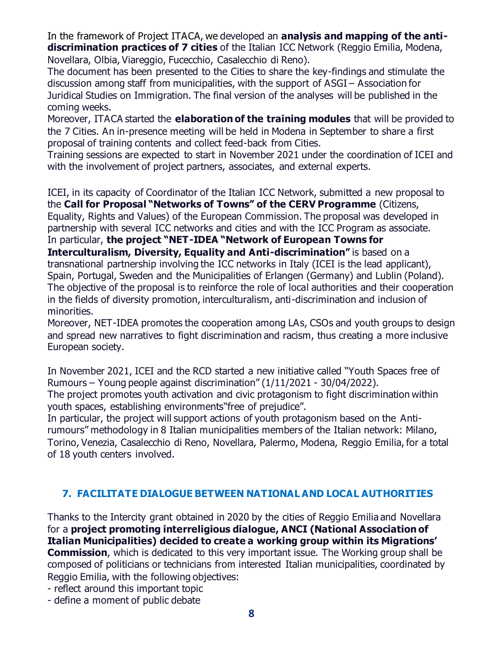In the framework of Project ITACA, we developed an **analysis and mapping of the antidiscrimination practices of 7 cities** of the Italian ICC Network (Reggio Emilia, Modena, Novellara, Olbia, Viareggio, Fucecchio, Casalecchio di Reno).

The document has been presented to the Cities to share the key-findings and stimulate the discussion among staff from municipalities, with the support of ASGI – Association for Juridical Studies on Immigration. The final version of the analyses will be published in the coming weeks.

Moreover, ITACA started the **elaboration of the training modules** that will be provided to the 7 Cities. An in-presence meeting will be held in Modena in September to share a first proposal of training contents and collect feed-back from Cities.

Training sessions are expected to start in November 2021 under the coordination of ICEI and with the involvement of project partners, associates, and external experts.

ICEI, in its capacity of Coordinator of the Italian ICC Network, submitted a new proposal to the **Call for Proposal "Networks of Towns" of the CERV Programme** (Citizens, Equality, Rights and Values) of the European Commission. The proposal was developed in partnership with several ICC networks and cities and with the ICC Program as associate. In particular, **the project "NET-IDEA "Network of European Towns for Interculturalism, Diversity, Equality and Anti-discrimination"** is based on a transnational partnership involving the ICC networks in Italy (ICEI is the lead applicant), Spain, Portugal, Sweden and the Municipalities of Erlangen (Germany) and Lublin (Poland). The objective of the proposal is to reinforce the role of local authorities and their cooperation in the fields of diversity promotion, interculturalism, anti-discrimination and inclusion of

minorities. Moreover, NET-IDEA promotes the cooperation among LAs, CSOs and youth groups to design

and spread new narratives to fight discrimination and racism, thus creating a more inclusive European society.

In November 2021, ICEI and the RCD started a new initiative called "Youth Spaces free of Rumours – Young people against discrimination" (1/11/2021 - 30/04/2022).

The project promotes youth activation and civic protagonism to fight discrimination within youth spaces, establishing environments"free of prejudice".

In particular, the project will support actions of youth protagonism based on the Antirumours" methodology in 8 Italian municipalities members of the Italian network: Milano, Torino, Venezia, Casalecchio di Reno, Novellara, Palermo, Modena, Reggio Emilia, for a total of 18 youth centers involved.

# **7. FACILITATE DIALOGUE BETWEEN NATIONAL AND LOCAL AUTHORITIES**

Thanks to the Intercity grant obtained in 2020 by the cities of Reggio Emilia and Novellara for a **project promoting interreligious dialogue, ANCI (National Association of Italian Municipalities) decided to create a working group within its Migrations' Commission**, which is dedicated to this very important issue. The Working group shall be composed of politicians or technicians from interested Italian municipalities, coordinated by Reggio Emilia, with the following objectives:

- reflect around this important topic

- define a moment of public debate